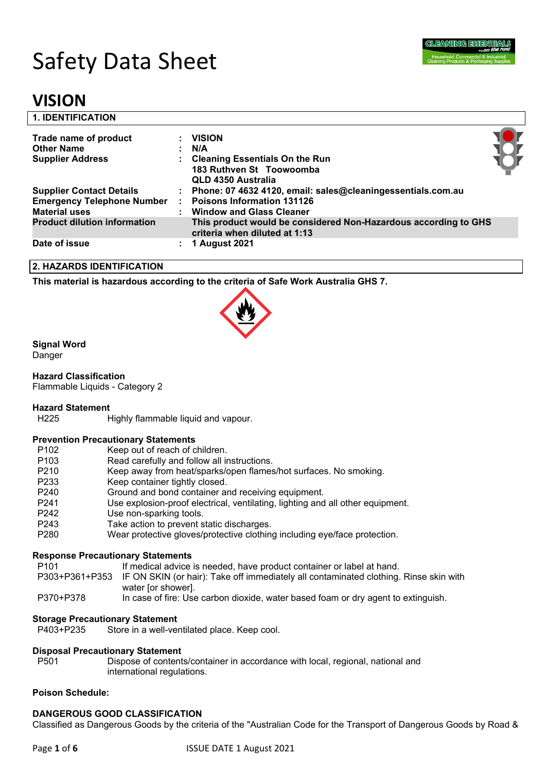# Safety Data Sheet

### **VISION**

| <b>1. IDENTIFICATION</b>                                                                     |                                                                                                                                       |          |
|----------------------------------------------------------------------------------------------|---------------------------------------------------------------------------------------------------------------------------------------|----------|
| Trade name of product<br><b>Other Name</b>                                                   | <b>VISION</b><br>N/A                                                                                                                  |          |
| <b>Supplier Address</b>                                                                      | <b>Cleaning Essentials On the Run</b><br>183 Ruthven St Toowoomba<br><b>QLD 4350 Australia</b>                                        | <b>K</b> |
| <b>Supplier Contact Details</b><br><b>Emergency Telephone Number</b><br><b>Material uses</b> | : Phone: 07 4632 4120, email: sales@cleaningessentials.com.au<br><b>Poisons Information 131126</b><br><b>Window and Glass Cleaner</b> |          |
| <b>Product dilution information</b>                                                          | This product would be considered Non-Hazardous according to GHS<br>criteria when diluted at 1:13                                      |          |
| Date of issue                                                                                | 1 August 2021                                                                                                                         |          |

#### **2. HAZARDS IDENTIFICATION**

**This material is hazardous according to the criteria of Safe Work Australia GHS 7.**



#### **Signal Word**

Danger

#### **Hazard Classification**

Flammable Liquids - Category 2

#### **Hazard Statement**

H225 Highly flammable liquid and vapour.

#### **Prevention Precautionary Statements**

| P <sub>102</sub> | Keep out of reach of children.                                                 |
|------------------|--------------------------------------------------------------------------------|
| P <sub>103</sub> | Read carefully and follow all instructions.                                    |
| P <sub>210</sub> | Keep away from heat/sparks/open flames/hot surfaces. No smoking.               |
| P <sub>233</sub> | Keep container tightly closed.                                                 |
| P <sub>240</sub> | Ground and bond container and receiving equipment.                             |
| P <sub>241</sub> | Use explosion-proof electrical, ventilating, lighting and all other equipment. |
| P <sub>242</sub> | Use non-sparking tools.                                                        |
| P <sub>243</sub> | Take action to prevent static discharges.                                      |
| P <sub>280</sub> | Wear protective gloves/protective clothing including eye/face protection.      |
|                  |                                                                                |

#### **Response Precautionary Statements**

- P303+P361+P353 IF ON SKIN (or hair): Take off immediately all contaminated clothing. Rinse skin with water [or shower].
- P370+P378 In case of fire: Use carbon dioxide, water based foam or dry agent to extinguish.

### **Storage Precautionary Statement**<br>P403+P235 Store in a well-ve

Store in a well-ventilated place. Keep cool.

#### **Disposal Precautionary Statement**

P501 Dispose of contents/container in accordance with local, regional, national and international regulations.

#### **Poison Schedule:**

#### **DANGEROUS GOOD CLASSIFICATION**

Classified as Dangerous Goods by the criteria of the "Australian Code for the Transport of Dangerous Goods by Road &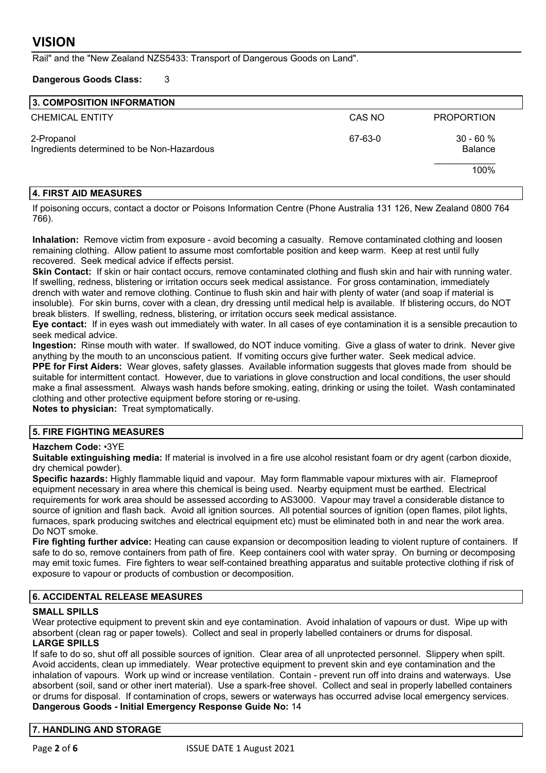Rail" and the "New Zealand NZS5433: Transport of Dangerous Goods on Land".

#### **Dangerous Goods Class:** 3

#### **3. COMPOSITION INFORMATION**

| <b>CHEMICAL ENTITY</b>                                   | CAS NO  | <b>PROPORTION</b>     |  |
|----------------------------------------------------------|---------|-----------------------|--|
| 2-Propanol<br>Ingredients determined to be Non-Hazardous | 67-63-0 | $30 - 60%$<br>Balance |  |
|                                                          |         | 100%                  |  |

#### **4. FIRST AID MEASURES**

If poisoning occurs, contact a doctor or Poisons Information Centre (Phone Australia 131 126, New Zealand 0800 764 766).

**Inhalation:** Remove victim from exposure - avoid becoming a casualty. Remove contaminated clothing and loosen remaining clothing. Allow patient to assume most comfortable position and keep warm. Keep at rest until fully recovered. Seek medical advice if effects persist.

**Skin Contact:** If skin or hair contact occurs, remove contaminated clothing and flush skin and hair with running water. If swelling, redness, blistering or irritation occurs seek medical assistance. For gross contamination, immediately drench with water and remove clothing. Continue to flush skin and hair with plenty of water (and soap if material is insoluble). For skin burns, cover with a clean, dry dressing until medical help is available. If blistering occurs, do NOT break blisters. If swelling, redness, blistering, or irritation occurs seek medical assistance.

**Eye contact:** If in eyes wash out immediately with water. In all cases of eye contamination it is a sensible precaution to seek medical advice.

**Ingestion:** Rinse mouth with water. If swallowed, do NOT induce vomiting. Give a glass of water to drink. Never give anything by the mouth to an unconscious patient. If vomiting occurs give further water. Seek medical advice.

**PPE for First Aiders:** Wear gloves, safety glasses. Available information suggests that gloves made from should be suitable for intermittent contact. However, due to variations in glove construction and local conditions, the user should make a final assessment. Always wash hands before smoking, eating, drinking or using the toilet. Wash contaminated clothing and other protective equipment before storing or re-using.

**Notes to physician:** Treat symptomatically.

#### **5. FIRE FIGHTING MEASURES**

#### **Hazchem Code:** •3YE

**Suitable extinguishing media:** If material is involved in a fire use alcohol resistant foam or dry agent (carbon dioxide, dry chemical powder).

**Specific hazards:** Highly flammable liquid and vapour. May form flammable vapour mixtures with air. Flameproof equipment necessary in area where this chemical is being used. Nearby equipment must be earthed. Electrical requirements for work area should be assessed according to AS3000. Vapour may travel a considerable distance to source of ignition and flash back. Avoid all ignition sources. All potential sources of ignition (open flames, pilot lights, furnaces, spark producing switches and electrical equipment etc) must be eliminated both in and near the work area. Do NOT smoke.

**Fire fighting further advice:** Heating can cause expansion or decomposition leading to violent rupture of containers. If safe to do so, remove containers from path of fire. Keep containers cool with water spray. On burning or decomposing may emit toxic fumes. Fire fighters to wear self-contained breathing apparatus and suitable protective clothing if risk of exposure to vapour or products of combustion or decomposition.

#### **6. ACCIDENTAL RELEASE MEASURES**

#### **SMALL SPILLS**

Wear protective equipment to prevent skin and eye contamination. Avoid inhalation of vapours or dust. Wipe up with absorbent (clean rag or paper towels). Collect and seal in properly labelled containers or drums for disposal. **LARGE SPILLS**

If safe to do so, shut off all possible sources of ignition. Clear area of all unprotected personnel. Slippery when spilt. Avoid accidents, clean up immediately. Wear protective equipment to prevent skin and eye contamination and the inhalation of vapours. Work up wind or increase ventilation. Contain - prevent run off into drains and waterways. Use absorbent (soil, sand or other inert material). Use a spark-free shovel. Collect and seal in properly labelled containers or drums for disposal. If contamination of crops, sewers or waterways has occurred advise local emergency services. **Dangerous Goods - Initial Emergency Response Guide No:** 14

#### **7. HANDLING AND STORAGE**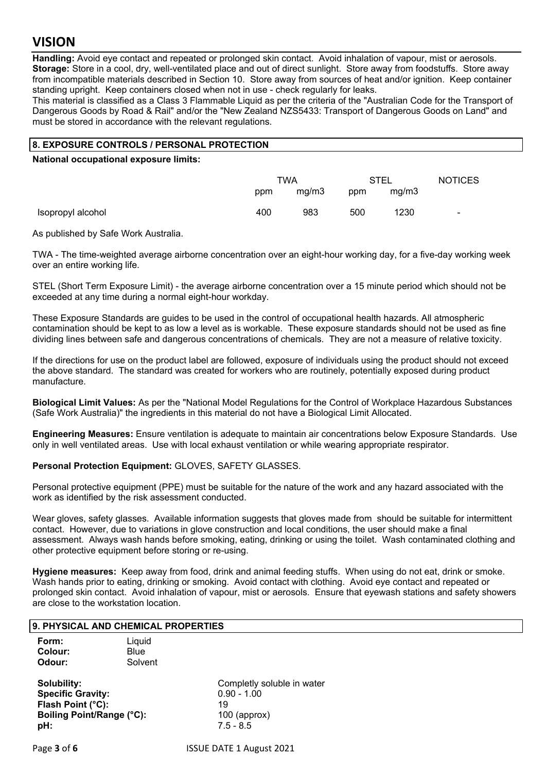### **VISION**

**Handling:** Avoid eye contact and repeated or prolonged skin contact. Avoid inhalation of vapour, mist or aerosols. **Storage:** Store in a cool, dry, well-ventilated place and out of direct sunlight. Store away from foodstuffs. Store away from incompatible materials described in Section 10. Store away from sources of heat and/or ignition. Keep container standing upright. Keep containers closed when not in use - check regularly for leaks.

This material is classified as a Class 3 Flammable Liquid as per the criteria of the "Australian Code for the Transport of Dangerous Goods by Road & Rail" and/or the "New Zealand NZS5433: Transport of Dangerous Goods on Land" and must be stored in accordance with the relevant regulations.

#### **8. EXPOSURE CONTROLS / PERSONAL PROTECTION**

**National occupational exposure limits:** 

|                   | TWA |       | <b>STEL</b> |       | <b>NOTICES</b> |
|-------------------|-----|-------|-------------|-------|----------------|
|                   | ppm | mq/m3 | ppm         | mq/m3 |                |
| Isopropyl alcohol | 400 | 983   | 500         | 1230  | $\blacksquare$ |

As published by Safe Work Australia.

TWA - The time-weighted average airborne concentration over an eight-hour working day, for a five-day working week over an entire working life.

STEL (Short Term Exposure Limit) - the average airborne concentration over a 15 minute period which should not be exceeded at any time during a normal eight-hour workday.

These Exposure Standards are guides to be used in the control of occupational health hazards. All atmospheric contamination should be kept to as low a level as is workable. These exposure standards should not be used as fine dividing lines between safe and dangerous concentrations of chemicals. They are not a measure of relative toxicity.

If the directions for use on the product label are followed, exposure of individuals using the product should not exceed the above standard. The standard was created for workers who are routinely, potentially exposed during product manufacture.

**Biological Limit Values:** As per the "National Model Regulations for the Control of Workplace Hazardous Substances (Safe Work Australia)" the ingredients in this material do not have a Biological Limit Allocated.

**Engineering Measures:** Ensure ventilation is adequate to maintain air concentrations below Exposure Standards. Use only in well ventilated areas. Use with local exhaust ventilation or while wearing appropriate respirator.

**Personal Protection Equipment:** GLOVES, SAFETY GLASSES.

Personal protective equipment (PPE) must be suitable for the nature of the work and any hazard associated with the work as identified by the risk assessment conducted.

Wear gloves, safety glasses. Available information suggests that gloves made from should be suitable for intermittent contact. However, due to variations in glove construction and local conditions, the user should make a final assessment. Always wash hands before smoking, eating, drinking or using the toilet. Wash contaminated clothing and other protective equipment before storing or re-using.

**Hygiene measures:** Keep away from food, drink and animal feeding stuffs. When using do not eat, drink or smoke. Wash hands prior to eating, drinking or smoking. Avoid contact with clothing. Avoid eye contact and repeated or prolonged skin contact. Avoid inhalation of vapour, mist or aerosols. Ensure that eyewash stations and safety showers are close to the workstation location.

#### **9. PHYSICAL AND CHEMICAL PROPERTIES**

| Form:   | Liquid  |
|---------|---------|
| Colour: | Blue    |
| Odour:  | Solvent |

**Solubility:**<br> **Specific Gravity:**<br>
Completly soluble in water<br>
0.90 - 1.00 **Specific Gravity: Flash Point (°C):** 19 **Boiling Point/Range (°C):** 100 (approx) **pH:** 7.5 - 8.5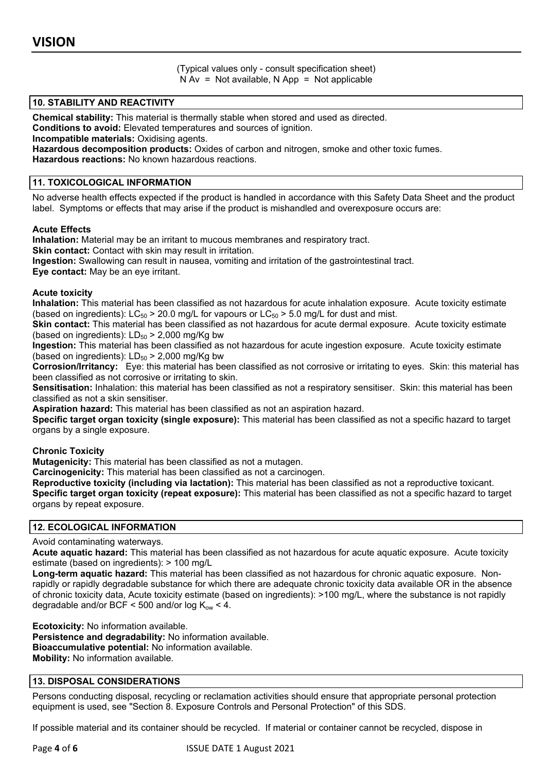(Typical values only - consult specification sheet)  $N Av = Not available$ ,  $N App = Not applicable$ 

#### **10. STABILITY AND REACTIVITY**

**Chemical stability:** This material is thermally stable when stored and used as directed.

**Conditions to avoid:** Elevated temperatures and sources of ignition.

**Incompatible materials:** Oxidising agents.

**Hazardous decomposition products:** Oxides of carbon and nitrogen, smoke and other toxic fumes.

**Hazardous reactions:** No known hazardous reactions.

#### **11. TOXICOLOGICAL INFORMATION**

No adverse health effects expected if the product is handled in accordance with this Safety Data Sheet and the product label. Symptoms or effects that may arise if the product is mishandled and overexposure occurs are:

#### **Acute Effects**

**Inhalation:** Material may be an irritant to mucous membranes and respiratory tract. **Skin contact:** Contact with skin may result in irritation. **Ingestion:** Swallowing can result in nausea, vomiting and irritation of the gastrointestinal tract. **Eye contact:** May be an eye irritant.

#### **Acute toxicity**

**Inhalation:** This material has been classified as not hazardous for acute inhalation exposure. Acute toxicity estimate (based on ingredients):  $LC_{50}$  > 20.0 mg/L for vapours or  $LC_{50}$  > 5.0 mg/L for dust and mist.

**Skin contact:** This material has been classified as not hazardous for acute dermal exposure. Acute toxicity estimate (based on ingredients):  $LD_{50}$  > 2,000 mg/Kg bw

**Ingestion:** This material has been classified as not hazardous for acute ingestion exposure. Acute toxicity estimate (based on ingredients):  $LD_{50}$  > 2,000 mg/Kg bw

**Corrosion/Irritancy:** Eye: this material has been classified as not corrosive or irritating to eyes. Skin: this material has been classified as not corrosive or irritating to skin.

**Sensitisation:** Inhalation: this material has been classified as not a respiratory sensitiser. Skin: this material has been classified as not a skin sensitiser.

**Aspiration hazard:** This material has been classified as not an aspiration hazard.

**Specific target organ toxicity (single exposure):** This material has been classified as not a specific hazard to target organs by a single exposure.

#### **Chronic Toxicity**

**Mutagenicity:** This material has been classified as not a mutagen.

**Carcinogenicity:** This material has been classified as not a carcinogen.

**Reproductive toxicity (including via lactation):** This material has been classified as not a reproductive toxicant. **Specific target organ toxicity (repeat exposure):** This material has been classified as not a specific hazard to target organs by repeat exposure.

#### **12. ECOLOGICAL INFORMATION**

Avoid contaminating waterways.

**Acute aquatic hazard:** This material has been classified as not hazardous for acute aquatic exposure. Acute toxicity estimate (based on ingredients): > 100 mg/L

**Long-term aquatic hazard:** This material has been classified as not hazardous for chronic aquatic exposure. Nonrapidly or rapidly degradable substance for which there are adequate chronic toxicity data available OR in the absence of chronic toxicity data, Acute toxicity estimate (based on ingredients): >100 mg/L, where the substance is not rapidly degradable and/or BCF < 500 and/or  $log K_{ow}$  < 4.

**Ecotoxicity:** No information available. **Persistence and degradability:** No information available. **Bioaccumulative potential:** No information available. **Mobility:** No information available.

#### **13. DISPOSAL CONSIDERATIONS**

Persons conducting disposal, recycling or reclamation activities should ensure that appropriate personal protection equipment is used, see "Section 8. Exposure Controls and Personal Protection" of this SDS.

If possible material and its container should be recycled. If material or container cannot be recycled, dispose in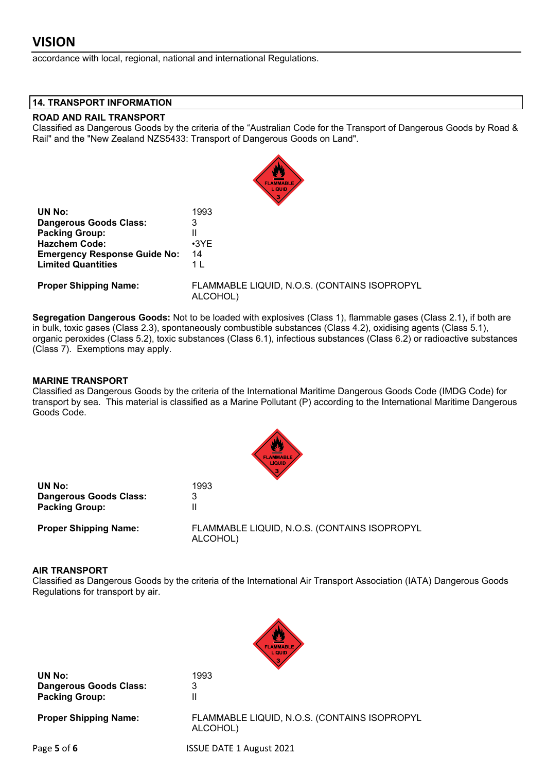accordance with local, regional, national and international Regulations.

#### **14. TRANSPORT INFORMATION**

#### **ROAD AND RAIL TRANSPORT**

Classified as Dangerous Goods by the criteria of the "Australian Code for the Transport of Dangerous Goods by Road & Rail" and the "New Zealand NZS5433: Transport of Dangerous Goods on Land".

|                                     | LIQUID                                                   |  |  |
|-------------------------------------|----------------------------------------------------------|--|--|
| UN No:                              | 1993                                                     |  |  |
| <b>Dangerous Goods Class:</b>       | 3                                                        |  |  |
| <b>Packing Group:</b>               | Ш                                                        |  |  |
| <b>Hazchem Code:</b>                | $\cdot$ 3YE                                              |  |  |
| <b>Emergency Response Guide No:</b> | 14                                                       |  |  |
| <b>Limited Quantities</b>           | 1 <sub>L</sub>                                           |  |  |
| <b>Proper Shipping Name:</b>        | FLAMMABLE LIQUID, N.O.S. (CONTAINS ISOPROPYL<br>ALCOHOL) |  |  |

**Segregation Dangerous Goods:** Not to be loaded with explosives (Class 1), flammable gases (Class 2.1), if both are in bulk, toxic gases (Class 2.3), spontaneously combustible substances (Class 4.2), oxidising agents (Class 5.1), organic peroxides (Class 5.2), toxic substances (Class 6.1), infectious substances (Class 6.2) or radioactive substances (Class 7). Exemptions may apply.

#### **MARINE TRANSPORT**

Classified as Dangerous Goods by the criteria of the International Maritime Dangerous Goods Code (IMDG Code) for transport by sea. This material is classified as a Marine Pollutant (P) according to the International Maritime Dangerous Goods Code.



| UN No:                       | 1993                                                     |
|------------------------------|----------------------------------------------------------|
| Dangerous Goods Class:       | 3                                                        |
| <b>Packing Group:</b>        |                                                          |
| <b>Proper Shipping Name:</b> | FLAMMABLE LIQUID, N.O.S. (CONTAINS ISOPROPYL<br>ALCOHOL) |

#### **AIR TRANSPORT**

Classified as Dangerous Goods by the criteria of the International Air Transport Association (IATA) Dangerous Goods Regulations for transport by air.



**UN No:** 1993 **Dangerous Goods Class:** 3 **Packing Group:** II

**Proper Shipping Name:** FLAMMABLE LIQUID, N.O.S. (CONTAINS ISOPROPYL ALCOHOL)

Page **5** of **6** ISSUE DATE 1 August 2021